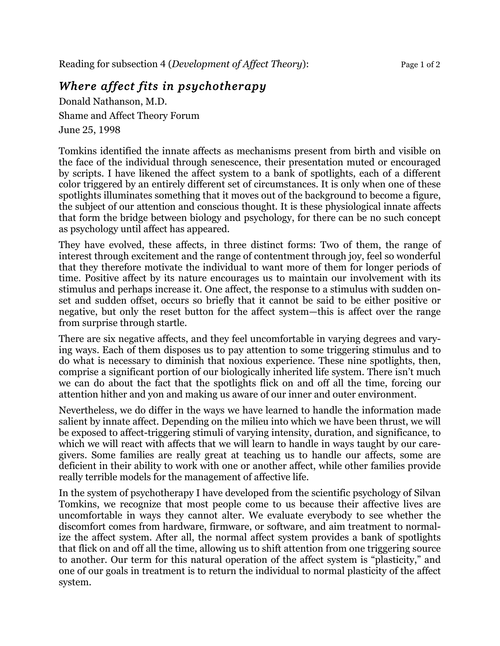## *Where affect fits in psychotherapy*

Donald Nathanson, M.D. Shame and Affect Theory Forum June 25, 1998

Tomkins identified the innate affects as mechanisms present from birth and visible on the face of the individual through senescence, their presentation muted or encouraged by scripts. I have likened the affect system to a bank of spotlights, each of a different color triggered by an entirely different set of circumstances. It is only when one of these spotlights illuminates something that it moves out of the background to become a figure, the subject of our attention and conscious thought. It is these physiological innate affects that form the bridge between biology and psychology, for there can be no such concept as psychology until affect has appeared.

They have evolved, these affects, in three distinct forms: Two of them, the range of interest through excitement and the range of contentment through joy, feel so wonderful that they therefore motivate the individual to want more of them for longer periods of time. Positive affect by its nature encourages us to maintain our involvement with its stimulus and perhaps increase it. One affect, the response to a stimulus with sudden onset and sudden offset, occurs so briefly that it cannot be said to be either positive or negative, but only the reset button for the affect system—this is affect over the range from surprise through startle.

There are six negative affects, and they feel uncomfortable in varying degrees and varying ways. Each of them disposes us to pay attention to some triggering stimulus and to do what is necessary to diminish that noxious experience. These nine spotlights, then, comprise a significant portion of our biologically inherited life system. There isn't much we can do about the fact that the spotlights flick on and off all the time, forcing our attention hither and yon and making us aware of our inner and outer environment.

Nevertheless, we do differ in the ways we have learned to handle the information made salient by innate affect. Depending on the milieu into which we have been thrust, we will be exposed to affect-triggering stimuli of varying intensity, duration, and significance, to which we will react with affects that we will learn to handle in ways taught by our caregivers. Some families are really great at teaching us to handle our affects, some are deficient in their ability to work with one or another affect, while other families provide really terrible models for the management of affective life.

In the system of psychotherapy I have developed from the scientific psychology of Silvan Tomkins, we recognize that most people come to us because their affective lives are uncomfortable in ways they cannot alter. We evaluate everybody to see whether the discomfort comes from hardware, firmware, or software, and aim treatment to normalize the affect system. After all, the normal affect system provides a bank of spotlights that flick on and off all the time, allowing us to shift attention from one triggering source to another. Our term for this natural operation of the affect system is "plasticity," and one of our goals in treatment is to return the individual to normal plasticity of the affect system.